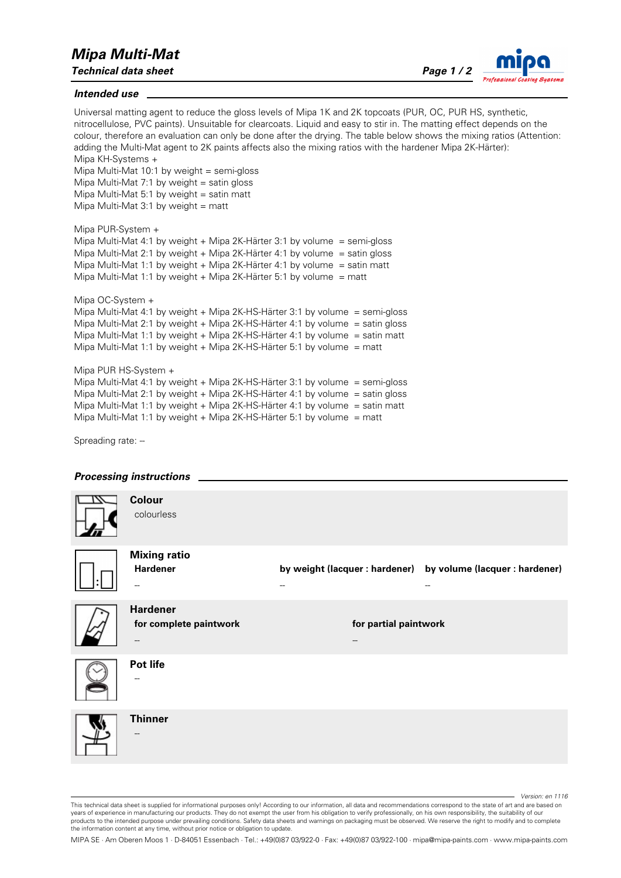## *Mipa Multi-Mat*

*Technical data sheet Page 1 / 2*



## *Intended use*

Universal matting agent to reduce the gloss levels of Mipa 1K and 2K topcoats (PUR, OC, PUR HS, synthetic, nitrocellulose, PVC paints). Unsuitable for clearcoats. Liquid and easy to stir in. The matting effect depends on the colour, therefore an evaluation can only be done after the drying. The table below shows the mixing ratios (Attention: adding the Multi-Mat agent to 2K paints affects also the mixing ratios with the hardener Mipa 2K-Härter): Mipa KH-Systems +

Mipa Multi-Mat 10:1 by weight  $=$  semi-gloss Mipa Multi-Mat 7:1 by weight  $=$  satin gloss Mipa Multi-Mat 5:1 by weight  $=$  satin matt Mipa Multi-Mat 3:1 by weight  $=$  matt

```
Mipa PUR-System + 
Mipa Multi-Mat 4:1 by weight + Mipa 2K-Härter 3:1 by volume = semi-gloss
Mipa Multi-Mat 2:1 by weight + Mipa 2K-Härter 4:1 by volume = satin gloss
Mipa Multi-Mat 1:1 by weight + Mipa 2K-Härter 4:1 by volume = satin matt
Mipa Multi-Mat 1:1 by weight + Mipa 2K-Härter 5:1 by volume = matt
```

```
Mipa OC-System + 
Mipa Multi-Mat 4:1 by weight + Mipa 2K-HS-Härter 3:1 by volume = semi-gloss
Mipa Multi-Mat 2:1 by weight + Mipa 2K-HS-Härter 4:1 by volume = satin gloss
Mipa Multi-Mat 1:1 by weight + Mipa 2K-HS-Härter 4:1 by volume = satin matt
Mipa Multi-Mat 1:1 by weight + Mipa 2K-HS-Härter 5:1 by volume = matt
```

```
Mipa PUR HS-System + 
Mipa Multi-Mat 4:1 by weight + Mipa 2K-HS-Härter 3:1 by volume = semi-gloss
Mipa Multi-Mat 2:1 by weight + Mipa 2K-HS-Härter 4:1 by volume = satin gloss
Mipa Multi-Mat 1:1 by weight + Mipa 2K-HS-Härter 4:1 by volume = satin matt 
Mipa Multi-Mat 1:1 by weight + Mipa 2K-HS-Härter 5:1 by volume = matt
```
Spreading rate: --



*Version: en 1116*

MIPA SE · Am Oberen Moos 1 · D-84051 Essenbach · Tel.: +49(0)87 03/922-0 · Fax: +49(0)87 03/922-100 · mipa@mipa-paints.com · www.mipa-paints.com

This technical data sheet is supplied for informational purposes only! According to our information, all data and recommendations correspond to the state of art and are based on years of experience in manufacturing our products. They do not exempt the user from his obligation to verify professionally, on his own responsibility, the suitability of our products to the intended purpose under prevailing conditions. Safety data sheets and warnings on packaging must be observed. We reserve the right to modify and to complete the information content at any time, without prior notice or obligation to update.